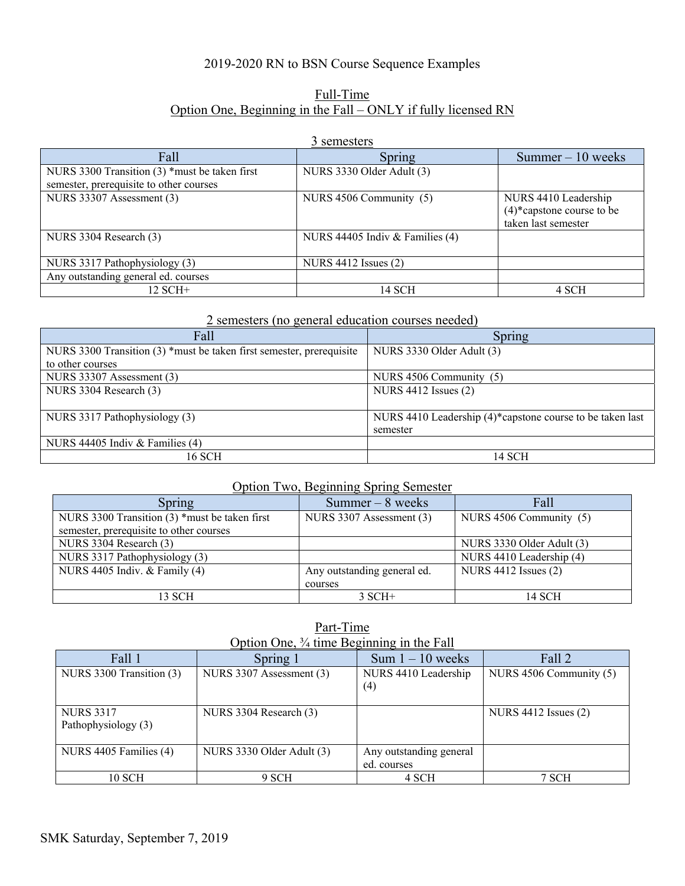## 2019-2020 RN to BSN Course Sequence Examples

# Full-Time Option One, Beginning in the Fall – ONLY if fully licensed RN

#### 3 semesters

| Fall                                                                                     | Spring                            | Summer $-10$ weeks                                                          |
|------------------------------------------------------------------------------------------|-----------------------------------|-----------------------------------------------------------------------------|
| NURS 3300 Transition (3) *must be taken first<br>semester, prerequisite to other courses | NURS 3330 Older Adult (3)         |                                                                             |
| NURS 33307 Assessment (3)                                                                | NURS 4506 Community (5)           | NURS 4410 Leadership<br>$(4)$ *capstone course to be<br>taken last semester |
| NURS 3304 Research (3)                                                                   | NURS 44405 Indiv $&$ Families (4) |                                                                             |
| NURS 3317 Pathophysiology (3)                                                            | NURS $4412$ Issues $(2)$          |                                                                             |
| Any outstanding general ed. courses                                                      |                                   |                                                                             |
| $12$ SCH+                                                                                | 14 SCH                            | 4 SCH                                                                       |

#### 2 semesters (no general education courses needed)

| Fall                                                                 | Spring                                                    |
|----------------------------------------------------------------------|-----------------------------------------------------------|
| NURS 3300 Transition (3) *must be taken first semester, prerequisite | NURS 3330 Older Adult (3)                                 |
| to other courses                                                     |                                                           |
| NURS 33307 Assessment (3)                                            | NURS 4506 Community (5)                                   |
| NURS 3304 Research (3)                                               | NURS 4412 Issues (2)                                      |
|                                                                      |                                                           |
| NURS 3317 Pathophysiology (3)                                        | NURS 4410 Leadership (4)*capstone course to be taken last |
|                                                                      | semester                                                  |
| NURS 44405 Indiv & Families (4)                                      |                                                           |
| 16 SCH                                                               | 14 SCH                                                    |

# Option Two, Beginning Spring Semester

| Spring                                          | Summer $-8$ weeks           | Fall                      |
|-------------------------------------------------|-----------------------------|---------------------------|
| NURS 3300 Transition $(3)$ *must be taken first | NURS 3307 Assessment (3)    | NURS 4506 Community (5)   |
| semester, prerequisite to other courses         |                             |                           |
| NURS 3304 Research (3)                          |                             | NURS 3330 Older Adult (3) |
| NURS 3317 Pathophysiology (3)                   |                             | NURS 4410 Leadership (4)  |
| NURS 4405 Indiv. & Family (4)                   | Any outstanding general ed. | NURS 4412 Issues (2)      |
|                                                 | courses                     |                           |
| 13 SCH                                          | $3$ SCH+                    | 14 SCH                    |

Part-Time Option One, ¾ time Beginning in the Fall

| Fall 1                   | Spring 1                  | Sum $1 - 10$ weeks      | Fall 2                  |
|--------------------------|---------------------------|-------------------------|-------------------------|
| NURS 3300 Transition (3) | NURS 3307 Assessment (3)  | NURS 4410 Leadership    | NURS 4506 Community (5) |
|                          |                           | (4)                     |                         |
|                          |                           |                         |                         |
| <b>NURS 3317</b>         | NURS 3304 Research (3)    |                         | NURS 4412 Issues (2)    |
| Pathophysiology (3)      |                           |                         |                         |
|                          |                           |                         |                         |
| NURS 4405 Families (4)   | NURS 3330 Older Adult (3) | Any outstanding general |                         |
|                          |                           | ed. courses             |                         |
| 10 SCH                   | 9 SCH                     | 4 SCH                   | 7 SCH                   |